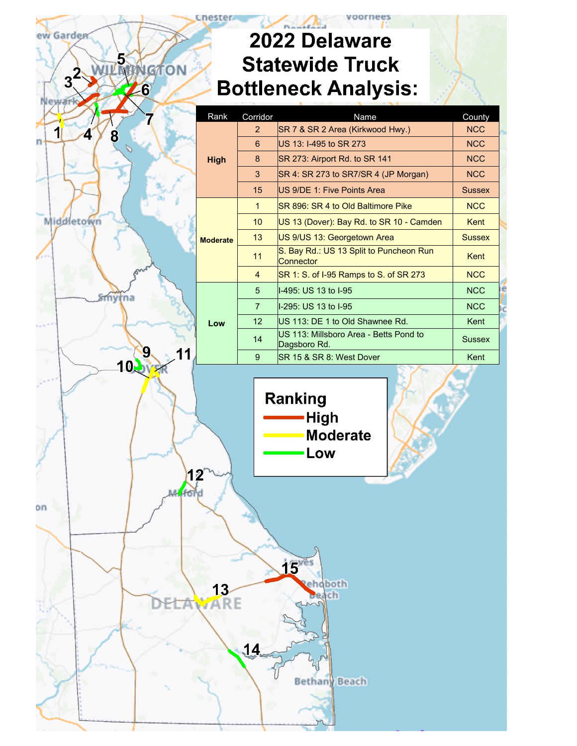## 2022 Delaware **Statewide Truck Bottleneck Analysis:**

ew Garden

Auston

| <b>GTON</b><br>3<br>$\boldsymbol{6}$ |                 |                | Olalcwiuc Tiuch<br><b>Bottleneck Analysis:</b>          |               |
|--------------------------------------|-----------------|----------------|---------------------------------------------------------|---------------|
|                                      | Rank            | Corridor       | Name                                                    | County        |
| 1                                    |                 | $\overline{2}$ | SR 7 & SR 2 Area (Kirkwood Hwy.)                        | <b>NCC</b>    |
| 4<br>8                               |                 | $6\phantom{1}$ | US 13: I-495 to SR 273                                  | <b>NCC</b>    |
|                                      | <b>High</b>     | 8              | SR 273: Airport Rd. to SR 141                           | <b>NCC</b>    |
|                                      |                 | 3              | SR 4: SR 273 to SR7/SR 4 (JP Morgan)                    | <b>NCC</b>    |
|                                      |                 | 15             | US 9/DE 1: Five Points Area                             | <b>Sussex</b> |
|                                      |                 | $\mathbf{1}$   | SR 896: SR 4 to Old Baltimore Pike                      | <b>NCC</b>    |
| Middletown                           |                 | 10             | US 13 (Dover): Bay Rd. to SR 10 - Camden                | Kent          |
|                                      | <b>Moderate</b> | 13             | US 9/US 13: Georgetown Area                             | <b>Sussex</b> |
|                                      |                 | 11             | S. Bay Rd.: US 13 Split to Puncheon Run<br>Connector    | Kent          |
|                                      |                 | $\overline{4}$ | SR 1: S. of I-95 Ramps to S. of SR 273                  | <b>NCC</b>    |
|                                      |                 | $\overline{5}$ | I-495: US 13 to I-95                                    | <b>NCC</b>    |
|                                      |                 | $\overline{7}$ | I-295: US 13 to I-95                                    | <b>NCC</b>    |
|                                      | Low             | 12             | US 113: DE 1 to Old Shawnee Rd.                         | Kent          |
|                                      |                 | 14             | US 113: Millsboro Area - Betts Pond to<br>Dagsboro Rd.  | <b>Sussex</b> |
| 9<br>10.                             |                 | 9              | SR 15 & SR 8: West Dover                                | Kent          |
| 12                                   |                 |                | <b>Ranking</b><br><b>High</b><br><b>Moderate</b><br>Low |               |
| M. fond                              | <b>ARE</b>      | 14             | 15yes<br>ehoboth<br>ch<br><b>Bethany Beach</b>          |               |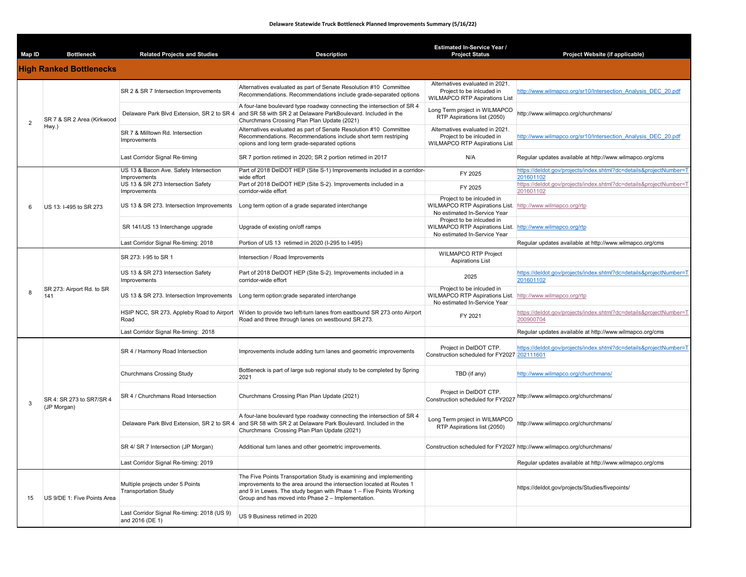| Map ID | <b>Bottleneck</b>                       | <b>Related Projects and Studies</b>                             | <b>Description</b>                                                                                                                                                                                                                                                     | Estimated In-Service Year /<br><b>Project Status</b>                                                                    | Project Website (if applicable)                                                 |
|--------|-----------------------------------------|-----------------------------------------------------------------|------------------------------------------------------------------------------------------------------------------------------------------------------------------------------------------------------------------------------------------------------------------------|-------------------------------------------------------------------------------------------------------------------------|---------------------------------------------------------------------------------|
|        | <b>High Ranked Bottlenecks</b>          |                                                                 |                                                                                                                                                                                                                                                                        |                                                                                                                         |                                                                                 |
| 2      | SR 7 & SR 2 Area (Kirkwood<br>Hwy.)     | SR 2 & SR 7 Intersection Improvements                           | Alternatives evaluated as part of Senate Resolution #10 Committee<br>Recommendations. Recommendations include grade-separated options                                                                                                                                  | Alternatives evaluated in 2021.<br>Project to be inlcuded in<br><b>WILMAPCO RTP Aspirations List</b>                    | http://www.wilmapco.org/sr10/Intersection Analysis DEC 20.pdf                   |
|        |                                         | Delaware Park Blvd Extension, SR 2 to SR 4                      | A four-lane boulevard type roadway connecting the intersection of SR 4<br>and SR 58 with SR 2 at Delaware ParkBoulevard. Included in the<br>Churchmans Crossing Plan Plan Update (2021)                                                                                | Long Term project in WILMAPCO<br>RTP Aspirations list (2050)                                                            | http://www.wilmapco.org/churchmans/                                             |
|        |                                         | SR 7 & Milltown Rd. Intersection<br>Improvements                | Alternatives evaluated as part of Senate Resolution #10 Committee<br>Recommendations. Recommendations include short term restriping<br>opions and long term grade-separated options                                                                                    | Alternatives evaluated in 2021.<br>Project to be inlcuded in<br><b>WILMAPCO RTP Aspirations List</b>                    | http://www.wilmapco.org/sr10/Intersection Analysis DEC 20.pdf                   |
|        |                                         | Last Corridor Signal Re-timing                                  | SR 7 portion retimed in 2020; SR 2 portion retimed in 2017                                                                                                                                                                                                             | N/A                                                                                                                     | Regular updates available at http://www.wilmapco.org/cms                        |
|        |                                         | US 13 & Bacon Ave. Safety Intersection                          | Part of 2018 DeIDOT HEP (Site S-1) Improvements included in a corridor-                                                                                                                                                                                                | FY 2025                                                                                                                 | https://deldot.gov/projects/index.shtml?dc=details&projectNumber=1              |
|        |                                         | Improvements<br>US 13 & SR 273 Intersection Safety              | wide effort<br>Part of 2018 DeIDOT HEP (Site S-2). Improvements included in a                                                                                                                                                                                          | FY 2025                                                                                                                 | 201601102<br>https://deldot.gov/projects/index.shtml?dc=details&projectNumber=T |
|        |                                         | Improvements                                                    | corridor-wide effort                                                                                                                                                                                                                                                   |                                                                                                                         | 201601102                                                                       |
| 6      | US 13: I-495 to SR 273                  | US 13 & SR 273. Intersection Improvements                       | Long term option of a grade separated interchange                                                                                                                                                                                                                      | Project to be inlcuded in<br><b>WILMAPCO RTP Aspirations List.</b><br>No estimated In-Service Year                      | http://www.wilmapco.org/rtp                                                     |
|        |                                         | SR 141/US 13 Interchange upgrade                                | Upgrade of existing on/off ramps                                                                                                                                                                                                                                       | Project to be inlcuded in<br>WILMAPCO RTP Aspirations List.<br>No estimated In-Service Year                             | http://www.wilmapco.org/rtp                                                     |
|        |                                         | Last Corridor Signal Re-timing: 2018                            | Portion of US 13 retimed in 2020 (I-295 to I-495)                                                                                                                                                                                                                      |                                                                                                                         | Regular updates available at http://www.wilmapco.org/cms                        |
|        | SR 273: Airport Rd. to SR<br>141        | SR 273: I-95 to SR 1                                            | Intersection / Road Improvements                                                                                                                                                                                                                                       | <b>WILMAPCO RTP Project</b><br><b>Aspirations List</b>                                                                  |                                                                                 |
|        |                                         | US 13 & SR 273 Intersection Safety<br>Improvements              | Part of 2018 DeIDOT HEP (Site S-2). Improvements included in a<br>corridor-wide effort                                                                                                                                                                                 | 2025                                                                                                                    | https://deldot.gov/projects/index.shtml?dc=details&projectNumber=T<br>201601102 |
| 8      |                                         | US 13 & SR 273. Intersection Improvements                       | Long term option: grade separated interchange                                                                                                                                                                                                                          | Project to be inlcuded in<br>WILMAPCO RTP Aspirations List. http://www.wilmapco.org/rtp<br>No estimated In-Service Year |                                                                                 |
|        |                                         | HSIP NCC, SR 273, Appleby Road to Airport<br>Road               | Widen to provide two left-turn lanes from eastbound SR 273 onto Airport<br>Road and three through lanes on westbound SR 273.                                                                                                                                           | FY 2021                                                                                                                 | https://deldot.gov/projects/index.shtml?dc=details&projectNumber=T<br>200900704 |
|        |                                         | Last Corridor Signal Re-timing: 2018                            |                                                                                                                                                                                                                                                                        |                                                                                                                         | Regular updates available at http://www.wilmapco.org/cms                        |
| 3      | SR 4: SR 273 to SR7/SR 4<br>(JP Morgan) | SR 4 / Harmony Road Intersection                                | Improvements include adding turn lanes and geometric improvements                                                                                                                                                                                                      | Project in DeIDOT CTP.<br>Construction scheduled for FY2027 202111601                                                   | https://deldot.gov/projects/index.shtml?dc=details&projectNumber=T              |
|        |                                         | Churchmans Crossing Study                                       | Bottleneck is part of large sub regional study to be completed by Spring<br>2021                                                                                                                                                                                       | TBD (if any)                                                                                                            | http://www.wilmapco.org/churchmans/                                             |
|        |                                         | SR 4 / Churchmans Road Intersection                             | Churchmans Crossing Plan Plan Update (2021)                                                                                                                                                                                                                            | Project in DelDOT CTP.<br>Construction scheduled for FY2027                                                             | http://www.wilmapco.org/churchmans/                                             |
|        |                                         | Delaware Park Blvd Extension, SR 2 to SR 4                      | A four-lane boulevard type roadway connecting the intersection of SR 4<br>and SR 58 with SR 2 at Delaware Park Boulevard. Included in the<br>Churchmans Crossing Plan Plan Update (2021)                                                                               | Long Term project in WILMAPCO<br>RTP Aspirations list (2050)                                                            | http://www.wilmapco.org/churchmans/                                             |
|        |                                         | SR 4/ SR 7 Intersection (JP Morgan)                             | Additional turn lanes and other geometric improvements.                                                                                                                                                                                                                |                                                                                                                         | Construction scheduled for FY2027 http://www.wilmapco.org/churchmans/           |
|        |                                         | Last Corridor Signal Re-timing: 2019                            |                                                                                                                                                                                                                                                                        |                                                                                                                         | Regular updates available at http://www.wilmapco.org/cms                        |
| 15     | US 9/DE 1: Five Points Area             | Multiple projects under 5 Points<br><b>Transportation Study</b> | The Five Points Transportation Study is examining and implementing<br>improvements to the area around the intersection located at Routes 1<br>and 9 in Lewes. The study began with Phase 1 - Five Points Working<br>Group and has moved into Phase 2 - Implementation. |                                                                                                                         | https://deldot.gov/projects/Studies/fivepoints/                                 |
|        |                                         | Last Corridor Signal Re-timing: 2018 (US 9)<br>and 2016 (DE 1)  | US 9 Business retimed in 2020                                                                                                                                                                                                                                          |                                                                                                                         |                                                                                 |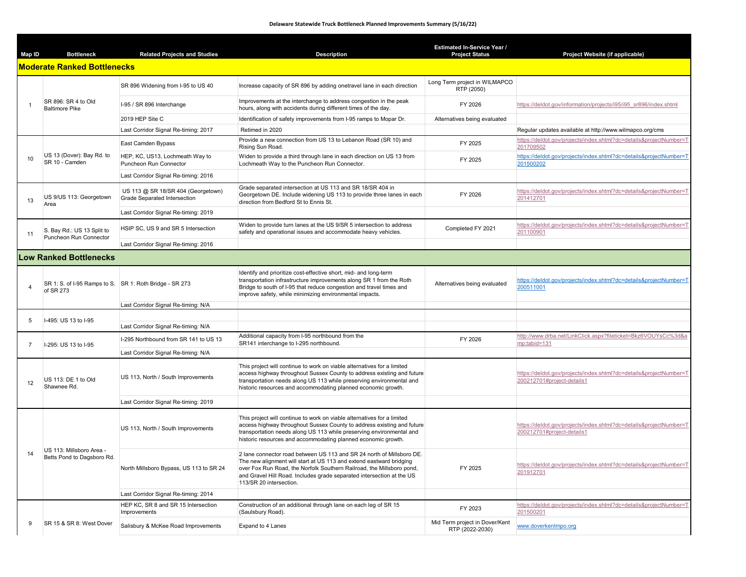## **Delaware Statewide Truck Bottleneck Planned Improvements Summary (5/16/22)**

| Map ID         | <b>Bottleneck</b>                                      | <b>Related Projects and Studies</b>                                | <b>Description</b>                                                                                                                                                                                                                                                                                                        | <b>Estimated In-Service Year /</b><br><b>Project Status</b> | Project Website (if applicable)                                                                  |
|----------------|--------------------------------------------------------|--------------------------------------------------------------------|---------------------------------------------------------------------------------------------------------------------------------------------------------------------------------------------------------------------------------------------------------------------------------------------------------------------------|-------------------------------------------------------------|--------------------------------------------------------------------------------------------------|
|                | <b>Moderate Ranked Bottlenecks</b>                     |                                                                    |                                                                                                                                                                                                                                                                                                                           |                                                             |                                                                                                  |
| $\overline{1}$ | SR 896: SR 4 to Old<br><b>Baltimore Pike</b>           | SR 896 Widening from I-95 to US 40                                 | Increase capacity of SR 896 by adding onetravel lane in each direction                                                                                                                                                                                                                                                    | Long Term project in WILMAPCO<br>RTP (2050)                 |                                                                                                  |
|                |                                                        | I-95 / SR 896 Interchange                                          | Improvements at the interchange to address congestion in the peak<br>hours, along with accidents during different times of the day.                                                                                                                                                                                       | FY 2026                                                     | https://deldot.gov/information/projects/i95/i95 sr896/index.shtml                                |
|                |                                                        | 2019 HEP Site C                                                    | Identification of safety improvements from I-95 ramps to Mopar Dr.                                                                                                                                                                                                                                                        | Alternatives being evaluated                                |                                                                                                  |
|                |                                                        | Last Corridor Signal Re-timing: 2017                               | Retimed in 2020                                                                                                                                                                                                                                                                                                           |                                                             | Regular updates available at http://www.wilmapco.org/cms                                         |
|                | US 13 (Dover): Bay Rd. to<br>SR 10 - Camden            | East Camden Bypass                                                 | Provide a new connection from US 13 to Lebanon Road (SR 10) and<br>Rising Sun Road.                                                                                                                                                                                                                                       | FY 2025                                                     | https://deldot.gov/projects/index.shtml?dc=details&projectNumber=T<br>201709502                  |
| 10             |                                                        | HEP, KC, US13, Lochmeath Way to<br>Puncheon Run Connector          | Widen to provide a third through lane in each direction on US 13 from<br>Lochmeath Way to the Puncheon Run Connector.                                                                                                                                                                                                     | FY 2025                                                     | https://deldot.gov/projects/index.shtml?dc=details&projectNumber=T<br>201500202                  |
|                |                                                        | Last Corridor Signal Re-timing: 2016                               |                                                                                                                                                                                                                                                                                                                           |                                                             |                                                                                                  |
| 13             | US 9/US 113: Georgetown<br>Area                        | US 113 @ SR 18/SR 404 (Georgetown)<br>Grade Separated Intersection | Grade separated intersection at US 113 and SR 18/SR 404 in<br>Georgetown DE. Include widening US 113 to provide three lanes in each<br>direction from Bedford St to Ennis St.                                                                                                                                             | FY 2026                                                     | https://deldot.gov/projects/index.shtml?dc=details&projectNumber=T<br>201412701                  |
|                |                                                        | Last Corridor Signal Re-timing: 2019                               |                                                                                                                                                                                                                                                                                                                           |                                                             |                                                                                                  |
| 11             | S. Bay Rd.: US 13 Split to                             | HSIP SC, US 9 and SR 5 Intersection                                | Widen to provide turn lanes at the US 9/SR 5 intersection to address<br>safety and operational issues and accommodate heavy vehicles.                                                                                                                                                                                     | Completed FY 2021                                           | https://deldot.gov/projects/index.shtml?dc=details&projectNumber=T<br>201100901                  |
|                | Puncheon Run Connector                                 | Last Corridor Signal Re-timing: 2016                               |                                                                                                                                                                                                                                                                                                                           |                                                             |                                                                                                  |
|                | <b>Low Ranked Bottlenecks</b>                          |                                                                    |                                                                                                                                                                                                                                                                                                                           |                                                             |                                                                                                  |
| $\overline{4}$ | of SR 273                                              | SR 1: S. of I-95 Ramps to S. SR 1: Roth Bridge - SR 273            | Identify and prioritize cost-effective short, mid- and long-term<br>transportation infrastructure improvements along SR 1 from the Roth<br>Bridge to south of I-95 that reduce congestion and travel times and<br>improve safety, while minimizing environmental impacts.                                                 | Alternatives being evaluated                                | https://deldot.gov/projects/index.shtml?dc=details&projectNumber=T<br>200511001                  |
|                |                                                        | Last Corridor Signal Re-timing: N/A                                |                                                                                                                                                                                                                                                                                                                           |                                                             |                                                                                                  |
| -5             | I-495: US 13 to I-95                                   |                                                                    |                                                                                                                                                                                                                                                                                                                           |                                                             |                                                                                                  |
|                |                                                        | Last Corridor Signal Re-timing: N/A                                |                                                                                                                                                                                                                                                                                                                           |                                                             |                                                                                                  |
| $\overline{7}$ | I-295: US 13 to I-95                                   | I-295 Northbound from SR 141 to US 13                              | Additional capacity from I-95 northbound from the<br>SR141 interchange to I-295 northbound.                                                                                                                                                                                                                               | FY 2026                                                     | http://www.drba.net/LinkClick.aspx?fileticket=Bkz6VOUYsCc%3d&a<br>mp;tabid=131                   |
|                |                                                        | Last Corridor Signal Re-timing: N/A                                |                                                                                                                                                                                                                                                                                                                           |                                                             |                                                                                                  |
| 12             | US 113: DE 1 to Old<br>Shawnee Rd.                     | US 113, North / South Improvements                                 | This project will continue to work on viable alternatives for a limited<br>access highway throughout Sussex County to address existing and future<br>transportation needs along US 113 while preserving environmental and<br>historic resources and accommodating planned economic growth.                                |                                                             | https://deldot.gov/projects/index.shtml?dc=details&projectNumber=T<br>200212701#project-details1 |
|                |                                                        | Last Corridor Signal Re-timing: 2019                               |                                                                                                                                                                                                                                                                                                                           |                                                             |                                                                                                  |
| 14             | US 113: Millsboro Area -<br>Betts Pond to Dagsboro Rd. | US 113, North / South Improvements                                 | This project will continue to work on viable alternatives for a limited<br>access highway throughout Sussex County to address existing and future<br>transportation needs along US 113 while preserving environmental and<br>historic resources and accommodating planned economic growth.                                |                                                             | https://deldot.gov/projects/index.shtml?dc=details&projectNumber=T<br>200212701#project-details1 |
|                |                                                        | North Millsboro Bypass, US 113 to SR 24                            | 2 lane connector road between US 113 and SR 24 north of Millsboro DE.<br>The new alignment will start at US 113 and extend eastward bridging<br>over Fox Run Road, the Norfolk Southern Railroad, the Millsboro pond,<br>and Gravel Hill Road. Includes grade separated intersection at the US<br>113/SR 20 intersection. | FY 2025                                                     | https://deldot.gov/projects/index.shtml?dc=details&projectNumber=T<br>201912701                  |
|                |                                                        | Last Corridor Signal Re-timing: 2014                               |                                                                                                                                                                                                                                                                                                                           |                                                             |                                                                                                  |
|                |                                                        | HEP KC, SR 8 and SR 15 Intersection<br>Improvements                | Construction of an additional through lane on each leg of SR 15<br>(Saulsbury Road).                                                                                                                                                                                                                                      | FY 2023                                                     | https://deldot.gov/projects/index.shtml?dc=details&projectNumber=T<br>201500201                  |
| 9              | SR 15 & SR 8: West Dover                               | Salisbury & McKee Road Improvements                                | Expand to 4 Lanes                                                                                                                                                                                                                                                                                                         | Mid Term project in Dover/Kent<br>RTP (2022-2030)           | www.doverkentmpo.org                                                                             |